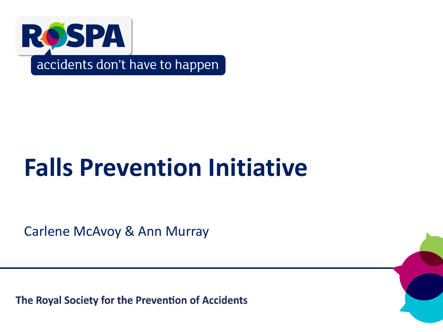

accidents don't have to happen

# **Falls Prevention Initiative**

Carlene McAvoy & Ann Murray

The Royal Society for the Prevention of Accidents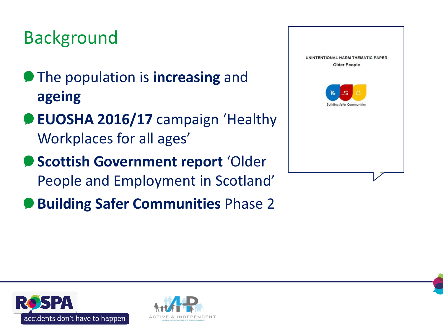# Background

- **The population is increasing and ageing**
- **EUOSHA 2016/17** campaign 'Healthy Workplaces for all ages'
- **Scottish Government report** 'Older People and Employment in Scotland'
- **Building Safer Communities** Phase 2





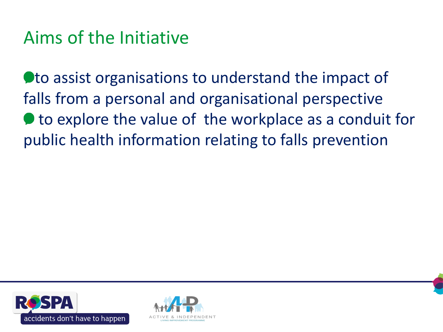# Aims of the Initiative

**Oto assist organisations to understand the impact of** falls from a personal and organisational perspective  $\bullet$  to explore the value of the workplace as a conduit for public health information relating to falls prevention



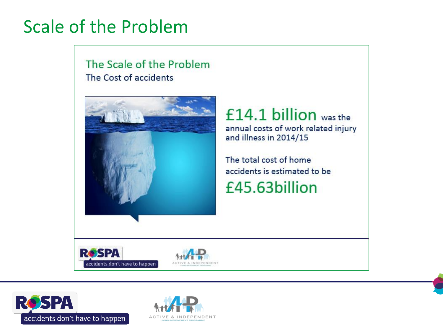# Scale of the Problem

The Scale of the Problem The Cost of accidents



#### $£14.1 billion$  was the annual costs of work related injury

and illness in 2014/15

The total cost of home accidents is estimated to be

£45.63billion







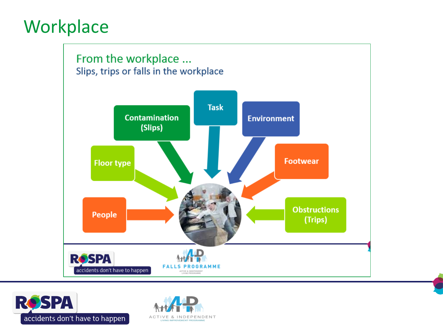## **Workplace**





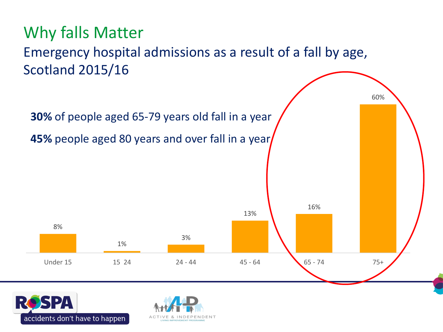



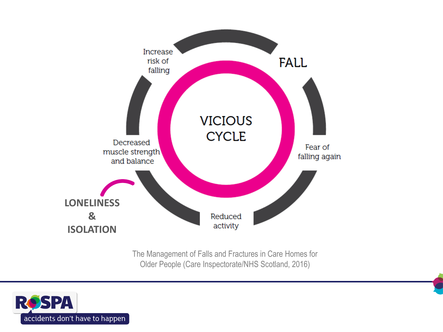

The Management of Falls and Fractures in Care Homes for Older People (Care Inspectorate/NHS Scotland, 2016)

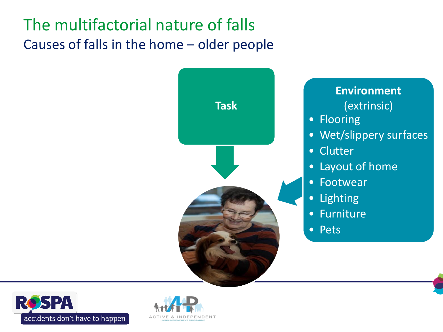### The multifactorial nature of falls Causes of falls in the home – older people





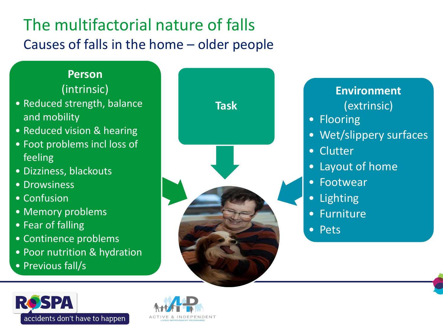### The multifactorial nature of falls Causes of falls in the home – older people

#### **Person** (intrinsic)

- Reduced strength, balance and mobility
- Reduced vision & hearing
- Foot problems incl loss of feeling
- Dizziness, blackouts
- Drowsiness
- Confusion
- Memory problems
- Fear of falling
- Continence problems
- Poor nutrition & hydration
- Previous fall/s



#### **Environment** (extrinsic)

- Flooring
- Wet/slippery surfaces
- Clutter
- Layout of home
- **Footwear**
- **Lighting**
- **Furniture**
- Pets



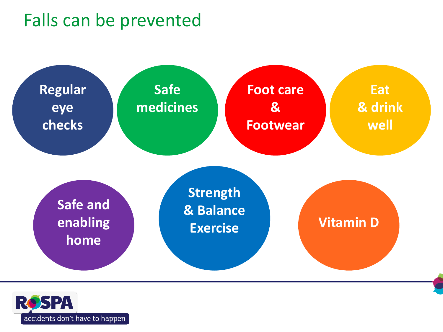# Falls can be prevented



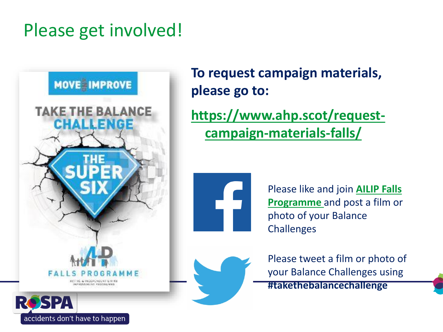# Please get involved!



**To request campaign materials, please go to:**

**[https://www.ahp.scot/request](https://www.ahp.scot/request-campaign-materials-falls/)campaign-materials-falls/**



[Please like and join](https://www.facebook.com/FallsProgramme/) **AILIP Falls Programme** and post a film or photo of your Balance **Challenges** 



Please tweet a film or photo of your Balance Challenges using **#takethebalancechallenge**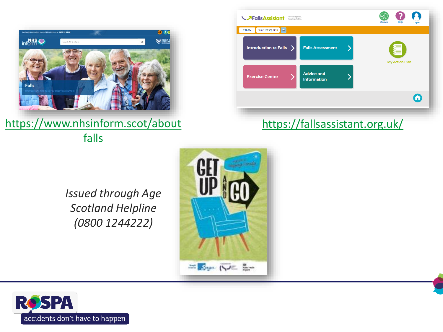

[https://www.nhsinform.scot/about](https://www.nhsinform.scot/aboutfalls) falls

| <b>My Action Plan</b> |
|-----------------------|
| 6                     |
|                       |

#### <https://fallsassistant.org.uk/>

*Issued through Age Scotland Helpline (0800 1244222)*



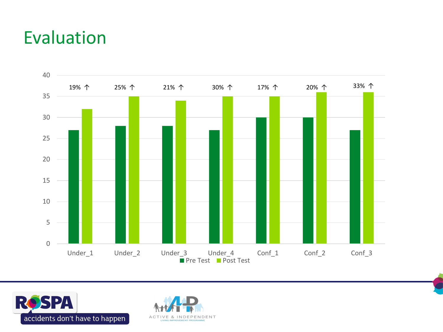### Evaluation